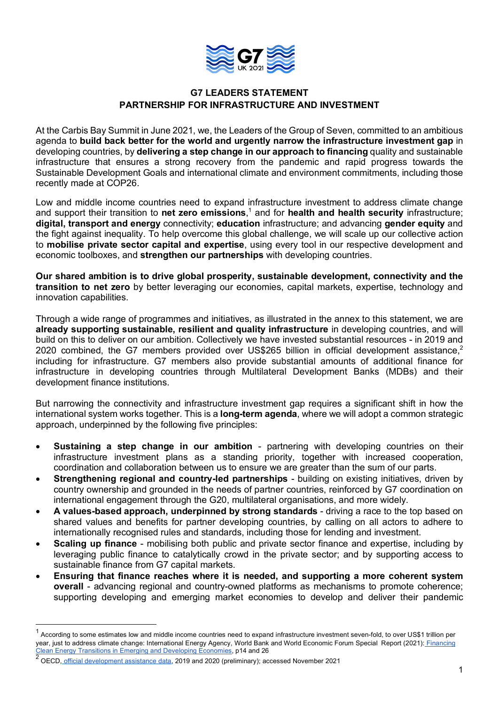

# **G7 LEADERS STATEMENT PARTNERSHIP FOR INFRASTRUCTURE AND INVESTMENT**

At the Carbis Bay Summit in June 2021, we, the Leaders of the Group of Seven, committed to an ambitious agenda to **build back better for the world and urgently narrow the infrastructure investment gap** in developing countries, by **delivering a step change in our approach to financing** quality and sustainable infrastructure that ensures a strong recovery from the pandemic and rapid progress towards the Sustainable Development Goals and international climate and environment commitments, including those recently made at COP26.

Low and middle income countries need to expand infrastructure investment to address climate change and support their transition to **net zero emissions**, <sup>1</sup> and for **health and health security** infrastructure; **digital, transport and energy** connectivity; **education** infrastructure; and advancing **gender equity** and the fight against inequality. To help overcome this global challenge, we will scale up our collective action to **mobilise private sector capital and expertise**, using every tool in our respective development and economic toolboxes, and **strengthen our partnerships** with developing countries.

**Our shared ambition is to drive global prosperity, sustainable development, connectivity and the transition to net zero** by better leveraging our economies, capital markets, expertise, technology and innovation capabilities.

Through a wide range of programmes and initiatives, as illustrated in the annex to this statement, we are **already supporting sustainable, resilient and quality infrastructure** in developing countries, and will build on this to deliver on our ambition. Collectively we have invested substantial resources - in 2019 and 2020 combined, the G7 members provided over US\$265 billion in official development assistance.<sup>2</sup> including for infrastructure. G7 members also provide substantial amounts of additional finance for infrastructure in developing countries through Multilateral Development Banks (MDBs) and their development finance institutions.

But narrowing the connectivity and infrastructure investment gap requires a significant shift in how the international system works together. This is a **long-term agenda**, where we will adopt a common strategic approach, underpinned by the following five principles:

- **Sustaining a step change in our ambition**  partnering with developing countries on their infrastructure investment plans as a standing priority, together with increased cooperation, coordination and collaboration between us to ensure we are greater than the sum of our parts.
- **Strengthening regional and country-led partnerships**  building on existing initiatives, driven by country ownership and grounded in the needs of partner countries, reinforced by G7 coordination on international engagement through the G20, multilateral organisations, and more widely.
- **A values-based approach, underpinned by strong standards** driving a race to the top based on shared values and benefits for partner developing countries, by calling on all actors to adhere to internationally recognised rules and standards, including those for lending and investment.
- **Scaling up finance**  mobilising both public and private sector finance and expertise, including by leveraging public finance to catalytically crowd in the private sector; and by supporting access to sustainable finance from G7 capital markets.
- **Ensuring that finance reaches where it is needed, and supporting a more coherent system overall** - advancing regional and country-owned platforms as mechanisms to promote coherence; supporting developing and emerging market economies to develop and deliver their pandemic

 $1$  According to some estimates low and middle income countries need to expand infrastructure investment seven-fold, to over US\$1 trillion per year, just to address climate change: International Energy Agency, World Bank and World Economic Forum Special Report (2021): Financing Clean Energy Transitions in Emerging and Developing Economies, p14 and 26

<sup>2</sup> OECD, official development assistance data, 2019 and 2020 (preliminary); accessed November 2021